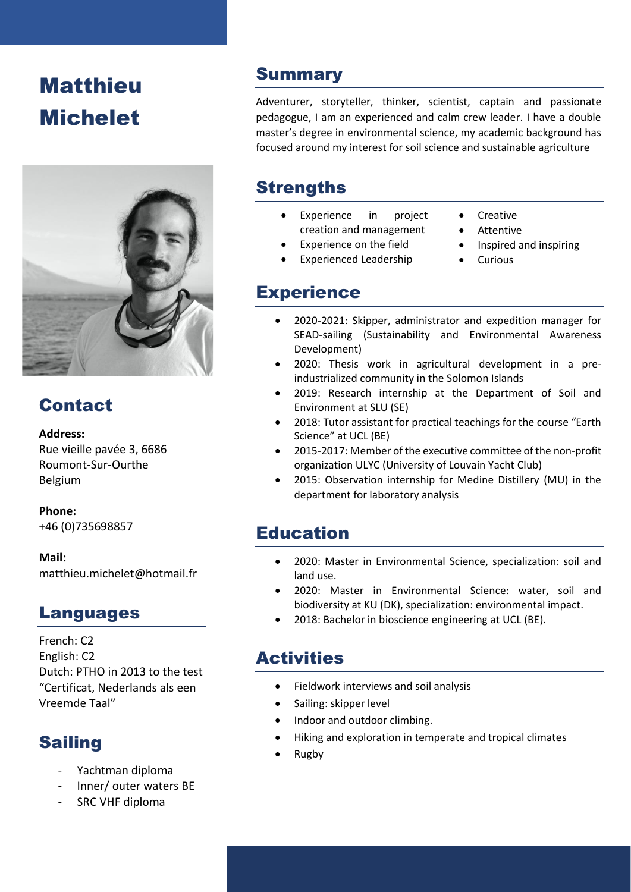# **Matthieu** Michelet



# Contact

#### **Address:**

Rue vieille pavée 3, 6686 Roumont-Sur-Ourthe Belgium

**Phone:** +46 (0)735698857

**Mail:** matthieu.michelet@hotmail.fr

### Languages

French: C2 English: C2 Dutch: PTHO in 2013 to the test "Certificat, Nederlands als een Vreemde Taal"

# Sailing

- Yachtman diploma
- Inner/ outer waters BE
- SRC VHF diploma

### **Summary**

Adventurer, storyteller, thinker, scientist, captain and passionate pedagogue, I am an experienced and calm crew leader. I have a double master's degree in environmental science, my academic background has focused around my interest for soil science and sustainable agriculture

# **Strengths**

- Experience in project creation and management
- Creative
- 
- Experience on the field
	- Experienced Leadership
- Attentive
- Inspired and inspiring
- **Curious**

## **Experience**

- 2020-2021: Skipper, administrator and expedition manager for SEAD-sailing (Sustainability and Environmental Awareness Development)
- 2020: Thesis work in agricultural development in a preindustrialized community in the Solomon Islands
- 2019: Research internship at the Department of Soil and Environment at SLU (SE)
- 2018: Tutor assistant for practical teachings for the course "Earth Science" at UCL (BE)
- 2015-2017: Member of the executive committee of the non-profit organization ULYC (University of Louvain Yacht Club)
- 2015: Observation internship for Medine Distillery (MU) in the department for laboratory analysis

# Education

- 2020: Master in Environmental Science, specialization: soil and land use.
- 2020: Master in Environmental Science: water, soil and biodiversity at KU (DK), specialization: environmental impact.
- 2018: Bachelor in bioscience engineering at UCL (BE).

# **Activities**

- Fieldwork interviews and soil analysis
- Sailing: skipper level
- Indoor and outdoor climbing.
- Hiking and exploration in temperate and tropical climates
- Rugby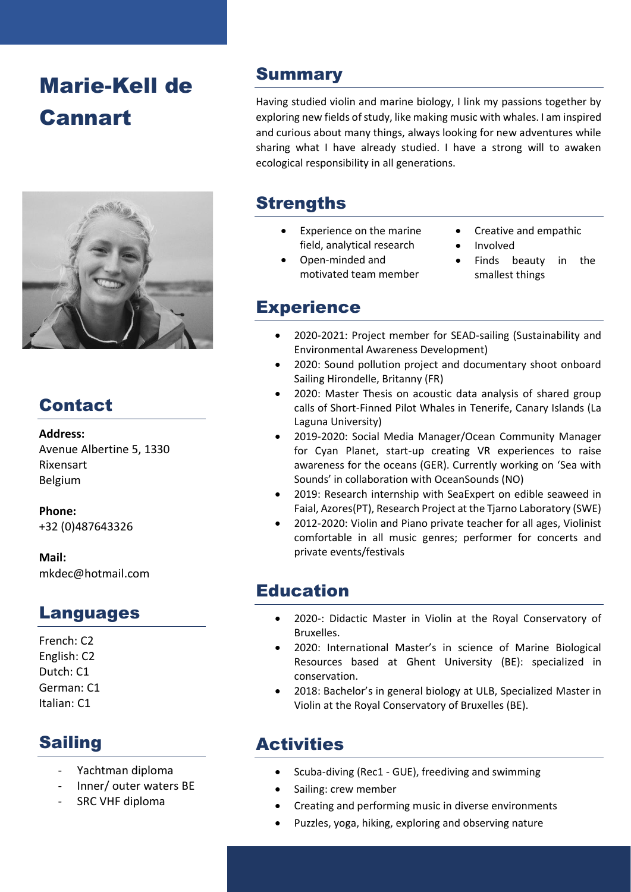# Marie-Kell de Cannart



# Contact

#### **Address:**

Avenue Albertine 5, 1330 Rixensart Belgium

**Phone:** +32 (0)487643326

**Mail:** mkdec@hotmail.com

# Languages

French: C2 English: C2 Dutch: C1 German: C1 Italian: C1

# Sailing

- Yachtman diploma
- Inner/ outer waters BE
- SRC VHF diploma

### **Summary**

Having studied violin and marine biology, I link my passions together by exploring new fields of study, like making music with whales. I am inspired and curious about many things, always looking for new adventures while sharing what I have already studied. I have a strong will to awaken ecological responsibility in all generations.

# **Strengths**

- Experience on the marine field, analytical research
- Open-minded and motivated team member
- Creative and empathic
- **Involved**
- Finds beauty in the smallest things

### **Experience**

- 2020-2021: Project member for SEAD-sailing (Sustainability and Environmental Awareness Development)
- 2020: Sound pollution project and documentary shoot onboard Sailing Hirondelle, Britanny (FR)
- 2020: Master Thesis on acoustic data analysis of shared group calls of Short-Finned Pilot Whales in Tenerife, Canary Islands (La Laguna University)
- 2019-2020: Social Media Manager/Ocean Community Manager for Cyan Planet, start-up creating VR experiences to raise awareness for the oceans (GER). Currently working on 'Sea with Sounds' in collaboration with OceanSounds (NO)
- 2019: Research internship with SeaExpert on edible seaweed in Faial, Azores(PT), Research Project at the Tjarno Laboratory (SWE)
- 2012-2020: Violin and Piano private teacher for all ages, Violinist comfortable in all music genres; performer for concerts and private events/festivals

# Education

- 2020-: Didactic Master in Violin at the Royal Conservatory of Bruxelles.
- 2020: International Master's in science of Marine Biological Resources based at Ghent University (BE): specialized in conservation.
- 2018: Bachelor's in general biology at ULB, Specialized Master in Violin at the Royal Conservatory of Bruxelles (BE).

# **Activities**

- Scuba-diving (Rec1 GUE), freediving and swimming
- Sailing: crew member
- Creating and performing music in diverse environments
- Puzzles, yoga, hiking, exploring and observing nature